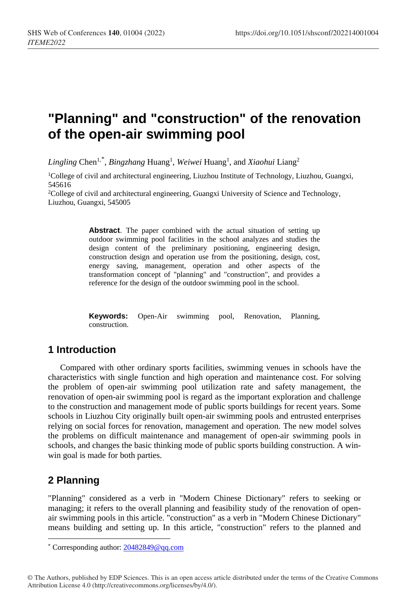# **"Planning" and "construction" of the renovation of the open-air swimming pool**

Lingling Chen<sup>1,[\\*](#page-0-0)</sup>, *Bingzhang* Huang<sup>1</sup>, *Weiwei* Huang<sup>1</sup>, and *Xiaohui* Liang<sup>2</sup>

1College of civil and architectural engineering, Liuzhou Institute of Technology, Liuzhou, Guangxi, 545616

2College of civil and architectural engineering, Guangxi University of Science and Technology, Liuzhou, Guangxi, 545005

> **Abstract**. The paper combined with the actual situation of setting up outdoor swimming pool facilities in the school analyzes and studies the design content of the preliminary positioning, engineering design, construction design and operation use from the positioning, design, cost, energy saving, management, operation and other aspects of the transformation concept of "planning" and "construction", and provides a reference for the design of the outdoor swimming pool in the school.

> **Keywords:** Open-Air swimming pool, Renovation, Planning, construction.

### **1 Introduction**

Compared with other ordinary sports facilities, swimming venues in schools have the characteristics with single function and high operation and maintenance cost. For solving the problem of open-air swimming pool utilization rate and safety management, the renovation of open-air swimming pool is regard as the important exploration and challenge to the construction and management mode of public sports buildings for recent years. Some schools in Liuzhou City originally built open-air swimming pools and entrusted enterprises relying on social forces for renovation, management and operation. The new model solves the problems on difficult maintenance and management of open-air swimming pools in schools, and changes the basic thinking mode of public sports building construction. A winwin goal is made for both parties.

## **2 Planning**

 $\overline{a}$ 

"Planning" considered as a verb in "Modern Chinese Dictionary" refers to seeking or managing; it refers to the overall planning and feasibility study of the renovation of openair swimming pools in this article. "construction" as a verb in "Modern Chinese Dictionary" means building and setting up. In this article, "construction" refers to the planned and

<span id="page-0-0"></span><sup>\*</sup> Corresponding author[: 20482849@qq.com](mailto:20482849@qq.com)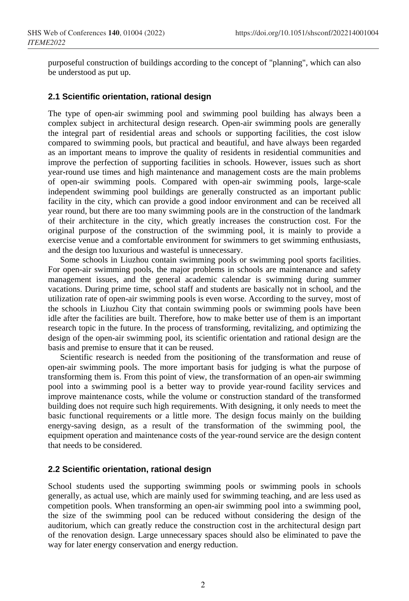purposeful construction of buildings according to the concept of "planning", which can also be understood as put up.

### **2.1 Scientific orientation, rational design**

The type of open-air swimming pool and swimming pool building has always been a complex subject in architectural design research. Open-air swimming pools are generally the integral part of residential areas and schools or supporting facilities, the cost islow compared to swimming pools, but practical and beautiful, and have always been regarded as an important means to improve the quality of residents in residential communities and improve the perfection of supporting facilities in schools. However, issues such as short year-round use times and high maintenance and management costs are the main problems of open-air swimming pools. Compared with open-air swimming pools, large-scale independent swimming pool buildings are generally constructed as an important public facility in the city, which can provide a good indoor environment and can be received all year round, but there are too many swimming pools are in the construction of the landmark of their architecture in the city, which greatly increases the construction cost. For the original purpose of the construction of the swimming pool, it is mainly to provide a exercise venue and a comfortable environment for swimmers to get swimming enthusiasts, and the design too luxurious and wasteful is unnecessary.

Some schools in Liuzhou contain swimming pools or swimming pool sports facilities. For open-air swimming pools, the major problems in schools are maintenance and safety management issues, and the general academic calendar is swimming during summer vacations. During prime time, school staff and students are basically not in school, and the utilization rate of open-air swimming pools is even worse. According to the survey, most of the schools in Liuzhou City that contain swimming pools or swimming pools have been idle after the facilities are built. Therefore, how to make better use of them is an important research topic in the future. In the process of transforming, revitalizing, and optimizing the design of the open-air swimming pool, its scientific orientation and rational design are the basis and premise to ensure that it can be reused.

Scientific research is needed from the positioning of the transformation and reuse of open-air swimming pools. The more important basis for judging is what the purpose of transforming them is. From this point of view, the transformation of an open-air swimming pool into a swimming pool is a better way to provide year-round facility services and improve maintenance costs, while the volume or construction standard of the transformed building does not require such high requirements. With designing, it only needs to meet the basic functional requirements or a little more. The design focus mainly on the building energy-saving design, as a result of the transformation of the swimming pool, the equipment operation and maintenance costs of the year-round service are the design content that needs to be considered.

### **2.2 Scientific orientation, rational design**

School students used the supporting swimming pools or swimming pools in schools generally, as actual use, which are mainly used for swimming teaching, and are less used as competition pools. When transforming an open-air swimming pool into a swimming pool, the size of the swimming pool can be reduced without considering the design of the auditorium, which can greatly reduce the construction cost in the architectural design part of the renovation design. Large unnecessary spaces should also be eliminated to pave the way for later energy conservation and energy reduction.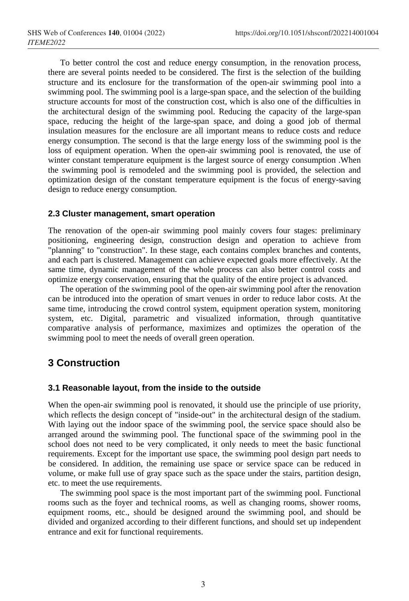To better control the cost and reduce energy consumption, in the renovation process, there are several points needed to be considered. The first is the selection of the building structure and its enclosure for the transformation of the open-air swimming pool into a swimming pool. The swimming pool is a large-span space, and the selection of the building structure accounts for most of the construction cost, which is also one of the difficulties in the architectural design of the swimming pool. Reducing the capacity of the large-span space, reducing the height of the large-span space, and doing a good job of thermal insulation measures for the enclosure are all important means to reduce costs and reduce energy consumption. The second is that the large energy loss of the swimming pool is the loss of equipment operation. When the open-air swimming pool is renovated, the use of winter constant temperature equipment is the largest source of energy consumption .When the swimming pool is remodeled and the swimming pool is provided, the selection and optimization design of the constant temperature equipment is the focus of energy-saving design to reduce energy consumption.

### **2.3 Cluster management, smart operation**

The renovation of the open-air swimming pool mainly covers four stages: preliminary positioning, engineering design, construction design and operation to achieve from "planning" to "construction". In these stage, each contains complex branches and contents, and each part is clustered. Management can achieve expected goals more effectively. At the same time, dynamic management of the whole process can also better control costs and optimize energy conservation, ensuring that the quality of the entire project is advanced.

The operation of the swimming pool of the open-air swimming pool after the renovation can be introduced into the operation of smart venues in order to reduce labor costs. At the same time, introducing the crowd control system, equipment operation system, monitoring system, etc. Digital, parametric and visualized information, through quantitative comparative analysis of performance, maximizes and optimizes the operation of the swimming pool to meet the needs of overall green operation.

### **3 Construction**

### **3.1 Reasonable layout, from the inside to the outside**

When the open-air swimming pool is renovated, it should use the principle of use priority, which reflects the design concept of "inside-out" in the architectural design of the stadium. With laying out the indoor space of the swimming pool, the service space should also be arranged around the swimming pool. The functional space of the swimming pool in the school does not need to be very complicated, it only needs to meet the basic functional requirements. Except for the important use space, the swimming pool design part needs to be considered. In addition, the remaining use space or service space can be reduced in volume, or make full use of gray space such as the space under the stairs, partition design, etc. to meet the use requirements.

The swimming pool space is the most important part of the swimming pool. Functional rooms such as the foyer and technical rooms, as well as changing rooms, shower rooms, equipment rooms, etc., should be designed around the swimming pool, and should be divided and organized according to their different functions, and should set up independent entrance and exit for functional requirements.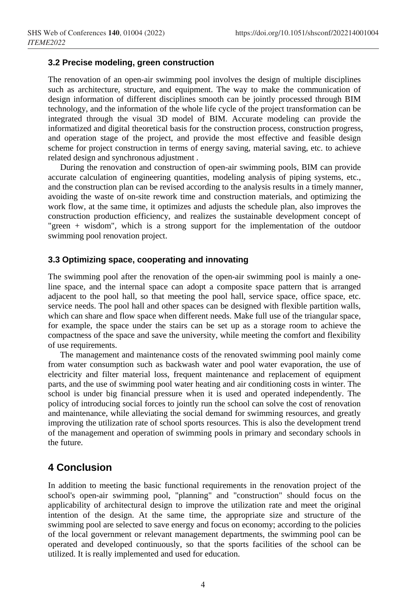### **3.2 Precise modeling, green construction**

The renovation of an open-air swimming pool involves the design of multiple disciplines such as architecture, structure, and equipment. The way to make the communication of design information of different disciplines smooth can be jointly processed through BIM technology, and the information of the whole life cycle of the project transformation can be integrated through the visual 3D model of BIM. Accurate modeling can provide the informatized and digital theoretical basis for the construction process, construction progress, and operation stage of the project, and provide the most effective and feasible design scheme for project construction in terms of energy saving, material saving, etc. to achieve related design and synchronous adjustment .

During the renovation and construction of open-air swimming pools, BIM can provide accurate calculation of engineering quantities, modeling analysis of piping systems, etc., and the construction plan can be revised according to the analysis results in a timely manner, avoiding the waste of on-site rework time and construction materials, and optimizing the work flow, at the same time, it optimizes and adjusts the schedule plan, also improves the construction production efficiency, and realizes the sustainable development concept of "green + wisdom", which is a strong support for the implementation of the outdoor swimming pool renovation project.

### **3.3 Optimizing space, cooperating and innovating**

The swimming pool after the renovation of the open-air swimming pool is mainly a oneline space, and the internal space can adopt a composite space pattern that is arranged adjacent to the pool hall, so that meeting the pool hall, service space, office space, etc. service needs. The pool hall and other spaces can be designed with flexible partition walls, which can share and flow space when different needs. Make full use of the triangular space, for example, the space under the stairs can be set up as a storage room to achieve the compactness of the space and save the university, while meeting the comfort and flexibility of use requirements.

The management and maintenance costs of the renovated swimming pool mainly come from water consumption such as backwash water and pool water evaporation, the use of electricity and filter material loss, frequent maintenance and replacement of equipment parts, and the use of swimming pool water heating and air conditioning costs in winter. The school is under big financial pressure when it is used and operated independently. The policy of introducing social forces to jointly run the school can solve the cost of renovation and maintenance, while alleviating the social demand for swimming resources, and greatly improving the utilization rate of school sports resources. This is also the development trend of the management and operation of swimming pools in primary and secondary schools in the future.

### **4 Conclusion**

In addition to meeting the basic functional requirements in the renovation project of the school's open-air swimming pool, "planning" and "construction" should focus on the applicability of architectural design to improve the utilization rate and meet the original intention of the design. At the same time, the appropriate size and structure of the swimming pool are selected to save energy and focus on economy; according to the policies of the local government or relevant management departments, the swimming pool can be operated and developed continuously, so that the sports facilities of the school can be utilized. It is really implemented and used for education.